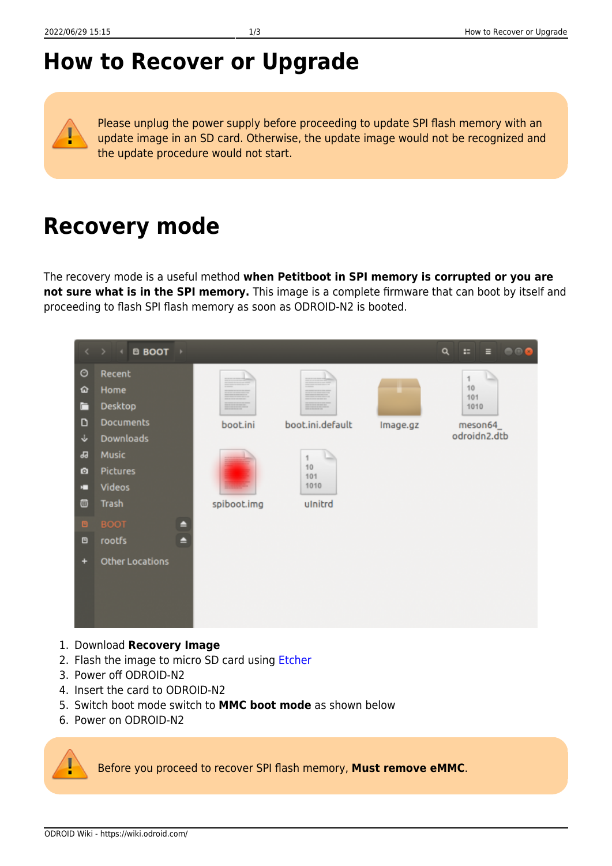## **How to Recover or Upgrade**

Please unplug the power supply before proceeding to update SPI flash memory with an update image in an SD card. Otherwise, the update image would not be recognized and the update procedure would not start.

## **Recovery mode**

The recovery mode is a useful method **when Petitboot in SPI memory is corrupted or you are not sure what is in the SPI memory.** This image is a complete firmware that can boot by itself and proceeding to flash SPI flash memory as soon as ODROID-N2 is booted.

|                                      | <b>B</b> BOOT <b>F</b><br>$\langle \rangle$ + $\langle$                                                               |             |                                            |          | Q<br>$\begin{array}{c} \bullet\circ\bullet\end{array}$<br>×<br>Ξ |
|--------------------------------------|-----------------------------------------------------------------------------------------------------------------------|-------------|--------------------------------------------|----------|------------------------------------------------------------------|
| O<br>ଢ<br>Ē<br>D<br>÷<br>品<br>o<br>п | Recent<br>Home<br>Desktop<br><b>Documents</b><br><b>Downloads</b><br><b>Music</b><br><b>Pictures</b><br><b>Videos</b> | boot.ini    | boot.ini.default<br>1<br>10<br>101<br>1010 | Image.gz | 1<br>10<br>101<br>1010<br>meson64<br>odroidn2.dtb                |
| 西                                    | Trash                                                                                                                 | spiboot.img | ulnitrd                                    |          |                                                                  |
| O.                                   | $\blacksquare$<br><b>BOOT</b>                                                                                         |             |                                            |          |                                                                  |
| O                                    | $\blacktriangle$<br>rootfs                                                                                            |             |                                            |          |                                                                  |
| ٠                                    | <b>Other Locations</b>                                                                                                |             |                                            |          |                                                                  |

- 1. Download **Recovery Image**
- 2. Flash the image to micro SD card using [Etcher](https://wiki.odroid.com/troubleshooting/odroid_flashing_tools?s[]=etcher#using_etcher)
- 3. Power off ODROID-N2
- 4. Insert the card to ODROID-N2
- 5. Switch boot mode switch to **MMC boot mode** as shown below
- 6. Power on ODROID-N2

Before you proceed to recover SPI flash memory, **Must remove eMMC**.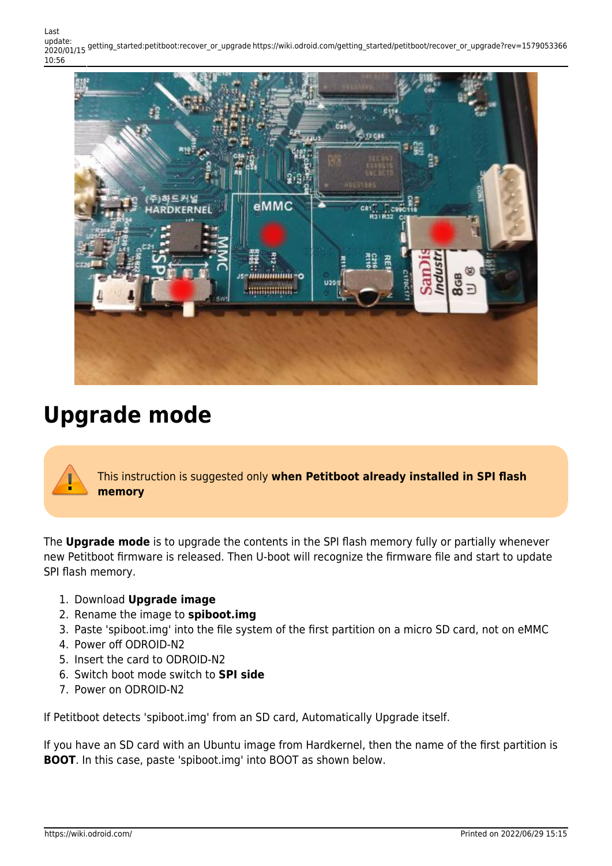Last update: 2020/01/15 getting\_started:petitboot:recover\_or\_upgrade https://wiki.odroid.com/getting\_started/petitboot/recover\_or\_upgrade?rev=1579053366 10:56



## **Upgrade mode**

This instruction is suggested only **when Petitboot already installed in SPI flash memory**

The **Upgrade mode** is to upgrade the contents in the SPI flash memory fully or partially whenever new Petitboot firmware is released. Then U-boot will recognize the firmware file and start to update SPI flash memory.

- 1. Download **Upgrade image**
- 2. Rename the image to **spiboot.img**
- 3. Paste 'spiboot.img' into the file system of the first partition on a micro SD card, not on eMMC
- 4. Power off ODROID-N2
- 5. Insert the card to ODROID-N2
- 6. Switch boot mode switch to **SPI side**
- 7. Power on ODROID-N2

If Petitboot detects 'spiboot.img' from an SD card, Automatically Upgrade itself.

If you have an SD card with an Ubuntu image from Hardkernel, then the name of the first partition is **BOOT**. In this case, paste 'spiboot.img' into BOOT as shown below.